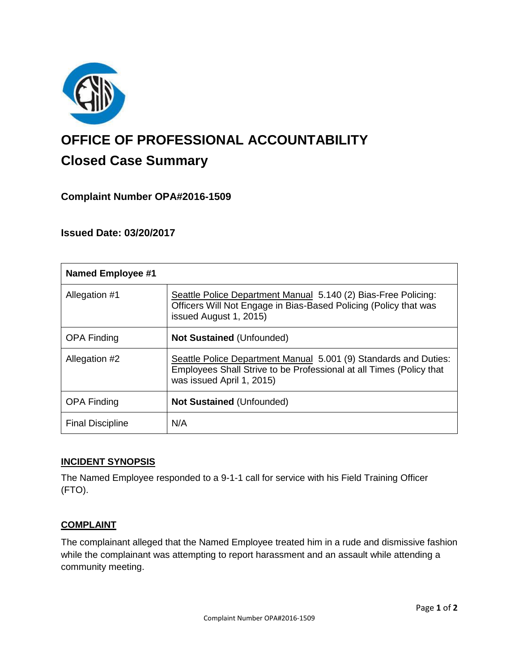

# **OFFICE OF PROFESSIONAL ACCOUNTABILITY Closed Case Summary**

# **Complaint Number OPA#2016-1509**

## **Issued Date: 03/20/2017**

| <b>Named Employee #1</b> |                                                                                                                                                                      |
|--------------------------|----------------------------------------------------------------------------------------------------------------------------------------------------------------------|
| Allegation #1            | Seattle Police Department Manual 5.140 (2) Bias-Free Policing:<br>Officers Will Not Engage in Bias-Based Policing (Policy that was<br>issued August 1, 2015)         |
| <b>OPA Finding</b>       | <b>Not Sustained (Unfounded)</b>                                                                                                                                     |
| Allegation #2            | Seattle Police Department Manual 5.001 (9) Standards and Duties:<br>Employees Shall Strive to be Professional at all Times (Policy that<br>was issued April 1, 2015) |
| <b>OPA Finding</b>       | <b>Not Sustained (Unfounded)</b>                                                                                                                                     |
| <b>Final Discipline</b>  | N/A                                                                                                                                                                  |

## **INCIDENT SYNOPSIS**

The Named Employee responded to a 9-1-1 call for service with his Field Training Officer (FTO).

## **COMPLAINT**

The complainant alleged that the Named Employee treated him in a rude and dismissive fashion while the complainant was attempting to report harassment and an assault while attending a community meeting.